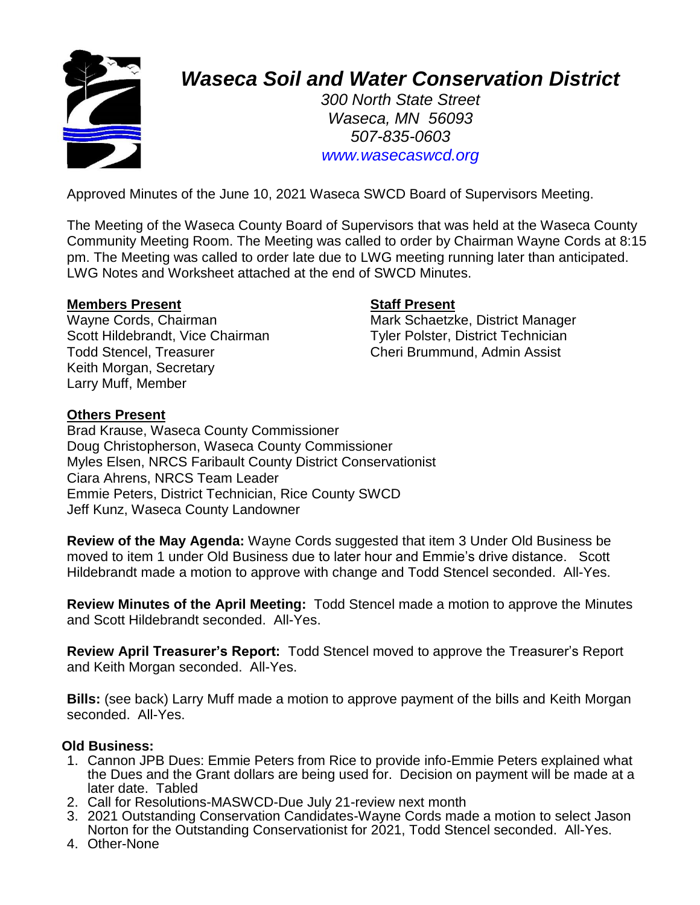

# *Waseca Soil and Water Conservation District*

*300 North State Street Waseca, MN 56093 507-835-0603 www.wasecaswcd.org*

Approved Minutes of the June 10, 2021 Waseca SWCD Board of Supervisors Meeting.

The Meeting of the Waseca County Board of Supervisors that was held at the Waseca County Community Meeting Room. The Meeting was called to order by Chairman Wayne Cords at 8:15 pm. The Meeting was called to order late due to LWG meeting running later than anticipated. LWG Notes and Worksheet attached at the end of SWCD Minutes.

#### **Members Present Staff Present**

Scott Hildebrandt, Vice Chairman Tyler Polster, District Technician Todd Stencel, Treasurer Cheri Brummund, Admin Assist Keith Morgan, Secretary Larry Muff, Member

Wayne Cords, Chairman Mark Schaetzke, District Manager

#### **Others Present**

Brad Krause, Waseca County Commissioner Doug Christopherson, Waseca County Commissioner Myles Elsen, NRCS Faribault County District Conservationist Ciara Ahrens, NRCS Team Leader Emmie Peters, District Technician, Rice County SWCD Jeff Kunz, Waseca County Landowner

**Review of the May Agenda:** Wayne Cords suggested that item 3 Under Old Business be moved to item 1 under Old Business due to later hour and Emmie's drive distance. Scott Hildebrandt made a motion to approve with change and Todd Stencel seconded. All-Yes.

**Review Minutes of the April Meeting:** Todd Stencel made a motion to approve the Minutes and Scott Hildebrandt seconded. All-Yes.

**Review April Treasurer's Report:** Todd Stencel moved to approve the Treasurer's Report and Keith Morgan seconded. All-Yes.

**Bills:** (see back) Larry Muff made a motion to approve payment of the bills and Keith Morgan seconded. All-Yes.

## **Old Business:**

- 1. Cannon JPB Dues: Emmie Peters from Rice to provide info-Emmie Peters explained what the Dues and the Grant dollars are being used for. Decision on payment will be made at a later date. Tabled
- 2. Call for Resolutions-MASWCD-Due July 21-review next month
- 3. 2021 Outstanding Conservation Candidates-Wayne Cords made a motion to select Jason Norton for the Outstanding Conservationist for 2021, Todd Stencel seconded. All-Yes.
- 4. Other-None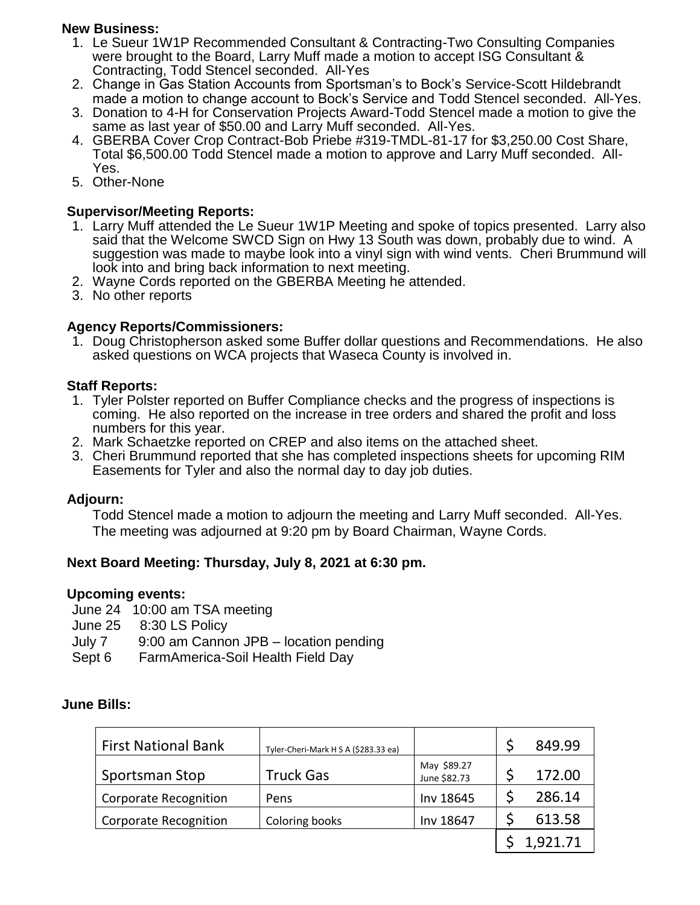## **New Business:**

- 1. Le Sueur 1W1P Recommended Consultant & Contracting-Two Consulting Companies were brought to the Board, Larry Muff made a motion to accept ISG Consultant & Contracting, Todd Stencel seconded. All-Yes
- 2. Change in Gas Station Accounts from Sportsman's to Bock's Service-Scott Hildebrandt made a motion to change account to Bock's Service and Todd Stencel seconded. All-Yes.
- 3. Donation to 4-H for Conservation Projects Award-Todd Stencel made a motion to give the same as last year of \$50.00 and Larry Muff seconded. All-Yes.
- 4. GBERBA Cover Crop Contract-Bob Priebe #319-TMDL-81-17 for \$3,250.00 Cost Share, Total \$6,500.00 Todd Stencel made a motion to approve and Larry Muff seconded. All-Yes.
- 5. Other-None

# **Supervisor/Meeting Reports:**

- 1. Larry Muff attended the Le Sueur 1W1P Meeting and spoke of topics presented. Larry also said that the Welcome SWCD Sign on Hwy 13 South was down, probably due to wind. A suggestion was made to maybe look into a vinyl sign with wind vents. Cheri Brummund will look into and bring back information to next meeting.
- 2. Wayne Cords reported on the GBERBA Meeting he attended.
- 3. No other reports

# **Agency Reports/Commissioners:**

1. Doug Christopherson asked some Buffer dollar questions and Recommendations. He also asked questions on WCA projects that Waseca County is involved in.

# **Staff Reports:**

- 1. Tyler Polster reported on Buffer Compliance checks and the progress of inspections is coming. He also reported on the increase in tree orders and shared the profit and loss numbers for this year.
- 2. Mark Schaetzke reported on CREP and also items on the attached sheet.
- 3. Cheri Brummund reported that she has completed inspections sheets for upcoming RIM Easements for Tyler and also the normal day to day job duties.

## **Adjourn:**

Todd Stencel made a motion to adjourn the meeting and Larry Muff seconded. All-Yes. The meeting was adjourned at 9:20 pm by Board Chairman, Wayne Cords.

## **Next Board Meeting: Thursday, July 8, 2021 at 6:30 pm.**

## **Upcoming events:**

- June 24 10:00 am TSA meeting
- June 25 8:30 LS Policy
- July 7 9:00 am Cannon JPB location pending
- Sept 6 FarmAmerica-Soil Health Field Day

## **June Bills:**

| <b>First National Bank</b>   | Tyler-Cheri-Mark H S A (\$283.33 ea) |                             | 849.99   |
|------------------------------|--------------------------------------|-----------------------------|----------|
| Sportsman Stop               | <b>Truck Gas</b>                     | May \$89.27<br>June \$82.73 | 172.00   |
| <b>Corporate Recognition</b> | Pens                                 | Inv 18645                   | 286.14   |
| <b>Corporate Recognition</b> | Coloring books                       | Inv 18647                   | 613.58   |
|                              |                                      |                             | 1,921.71 |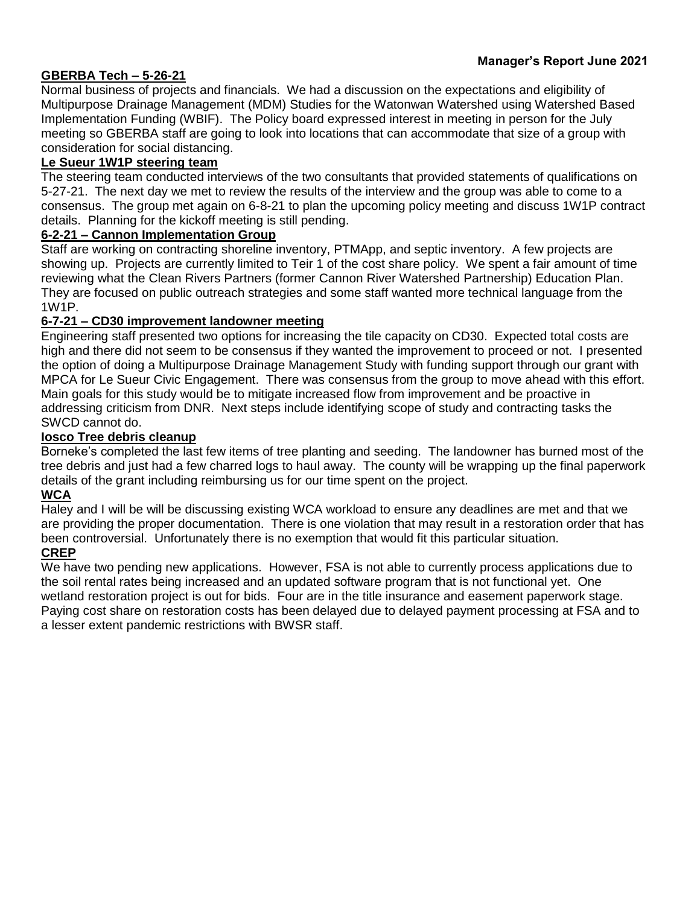# **GBERBA Tech – 5-26-21**

Normal business of projects and financials. We had a discussion on the expectations and eligibility of Multipurpose Drainage Management (MDM) Studies for the Watonwan Watershed using Watershed Based Implementation Funding (WBIF). The Policy board expressed interest in meeting in person for the July meeting so GBERBA staff are going to look into locations that can accommodate that size of a group with consideration for social distancing.

#### **Le Sueur 1W1P steering team**

The steering team conducted interviews of the two consultants that provided statements of qualifications on 5-27-21. The next day we met to review the results of the interview and the group was able to come to a consensus. The group met again on 6-8-21 to plan the upcoming policy meeting and discuss 1W1P contract details. Planning for the kickoff meeting is still pending.

#### **6-2-21 – Cannon Implementation Group**

Staff are working on contracting shoreline inventory, PTMApp, and septic inventory. A few projects are showing up. Projects are currently limited to Teir 1 of the cost share policy. We spent a fair amount of time reviewing what the Clean Rivers Partners (former Cannon River Watershed Partnership) Education Plan. They are focused on public outreach strategies and some staff wanted more technical language from the 1W1P.

#### **6-7-21 – CD30 improvement landowner meeting**

Engineering staff presented two options for increasing the tile capacity on CD30. Expected total costs are high and there did not seem to be consensus if they wanted the improvement to proceed or not. I presented the option of doing a Multipurpose Drainage Management Study with funding support through our grant with MPCA for Le Sueur Civic Engagement. There was consensus from the group to move ahead with this effort. Main goals for this study would be to mitigate increased flow from improvement and be proactive in addressing criticism from DNR. Next steps include identifying scope of study and contracting tasks the SWCD cannot do.

#### **Iosco Tree debris cleanup**

Borneke's completed the last few items of tree planting and seeding. The landowner has burned most of the tree debris and just had a few charred logs to haul away. The county will be wrapping up the final paperwork details of the grant including reimbursing us for our time spent on the project.

#### **WCA**

Haley and I will be will be discussing existing WCA workload to ensure any deadlines are met and that we are providing the proper documentation. There is one violation that may result in a restoration order that has been controversial. Unfortunately there is no exemption that would fit this particular situation.

#### **CREP**

We have two pending new applications. However, FSA is not able to currently process applications due to the soil rental rates being increased and an updated software program that is not functional yet. One wetland restoration project is out for bids. Four are in the title insurance and easement paperwork stage. Paying cost share on restoration costs has been delayed due to delayed payment processing at FSA and to a lesser extent pandemic restrictions with BWSR staff.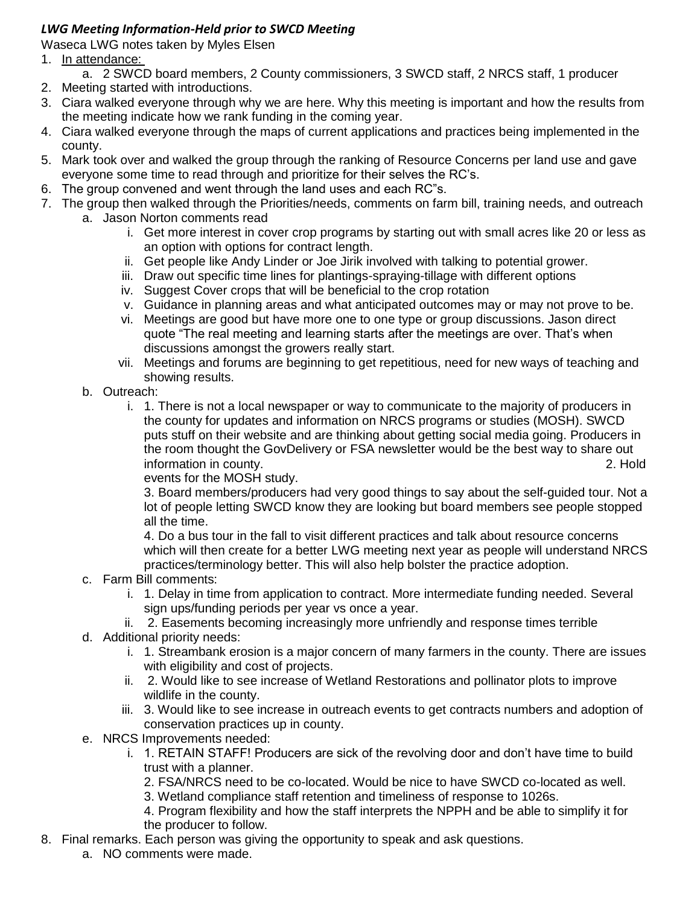# *LWG Meeting Information-Held prior to SWCD Meeting*

Waseca LWG notes taken by Myles Elsen

- 1. In attendance:
	- a. 2 SWCD board members, 2 County commissioners, 3 SWCD staff, 2 NRCS staff, 1 producer
- 2. Meeting started with introductions.
- 3. Ciara walked everyone through why we are here. Why this meeting is important and how the results from the meeting indicate how we rank funding in the coming year.
- 4. Ciara walked everyone through the maps of current applications and practices being implemented in the county.
- 5. Mark took over and walked the group through the ranking of Resource Concerns per land use and gave everyone some time to read through and prioritize for their selves the RC's.
- 6. The group convened and went through the land uses and each RC"s.
- 7. The group then walked through the Priorities/needs, comments on farm bill, training needs, and outreach a. Jason Norton comments read
	- i. Get more interest in cover crop programs by starting out with small acres like 20 or less as an option with options for contract length.
	- ii. Get people like Andy Linder or Joe Jirik involved with talking to potential grower.
	- iii. Draw out specific time lines for plantings-spraying-tillage with different options
	- iv. Suggest Cover crops that will be beneficial to the crop rotation
	- v. Guidance in planning areas and what anticipated outcomes may or may not prove to be.
	- vi. Meetings are good but have more one to one type or group discussions. Jason direct quote "The real meeting and learning starts after the meetings are over. That's when discussions amongst the growers really start.
	- vii. Meetings and forums are beginning to get repetitious, need for new ways of teaching and showing results.
	- b. Outreach:
		- i. 1. There is not a local newspaper or way to communicate to the majority of producers in the county for updates and information on NRCS programs or studies (MOSH). SWCD puts stuff on their website and are thinking about getting social media going. Producers in the room thought the GovDelivery or FSA newsletter would be the best way to share out information in county. 2. Hold

events for the MOSH study.

3. Board members/producers had very good things to say about the self-guided tour. Not a lot of people letting SWCD know they are looking but board members see people stopped all the time.

4. Do a bus tour in the fall to visit different practices and talk about resource concerns which will then create for a better LWG meeting next year as people will understand NRCS practices/terminology better. This will also help bolster the practice adoption.

- c. Farm Bill comments:
	- i. 1. Delay in time from application to contract. More intermediate funding needed. Several sign ups/funding periods per year vs once a year.
	- ii. 2. Easements becoming increasingly more unfriendly and response times terrible
- d. Additional priority needs:
	- i. 1. Streambank erosion is a major concern of many farmers in the county. There are issues with eligibility and cost of projects.
	- ii. 2. Would like to see increase of Wetland Restorations and pollinator plots to improve wildlife in the county.
	- iii. 3. Would like to see increase in outreach events to get contracts numbers and adoption of conservation practices up in county.
- e. NRCS Improvements needed:
	- i. 1. RETAIN STAFF! Producers are sick of the revolving door and don't have time to build trust with a planner.
		- 2. FSA/NRCS need to be co-located. Would be nice to have SWCD co-located as well.
		- 3. Wetland compliance staff retention and timeliness of response to 1026s.

4. Program flexibility and how the staff interprets the NPPH and be able to simplify it for the producer to follow.

- 8. Final remarks. Each person was giving the opportunity to speak and ask questions.
	- a. NO comments were made.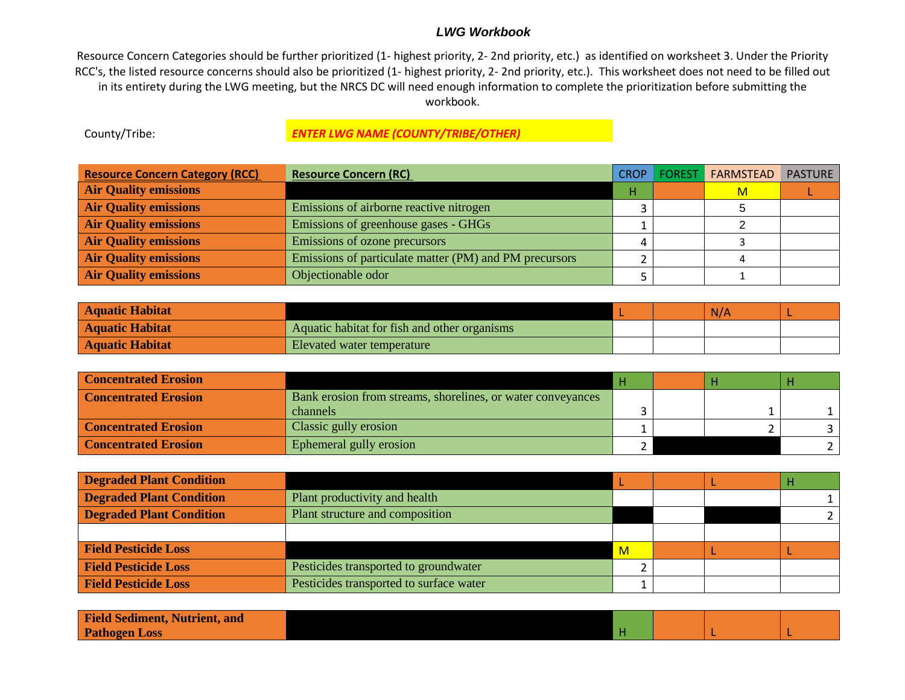#### *LWG Workbook*

Resource Concern Categories should be further prioritized (1- highest priority, 2- 2nd priority, etc.) as identified on worksheet 3. Under the Priority RCC's, the listed resource concerns should also be prioritized (1- highest priority, 2- 2nd priority, etc.). This worksheet does not need to be filled out in its entirety during the LWG meeting, but the NRCS DC will need enough information to complete the prioritization before submitting the workbook.

#### County/Tribe: *ENTER LWG NAME (COUNTY/TRIBE/OTHER)*

| <b>Resource Concern Category (RCC)</b> | <b>Resource Concern (RC)</b>                           | CROP | <b>FOREST</b> | <b>FARMSTEAD</b> | <b>PASTURE</b> |
|----------------------------------------|--------------------------------------------------------|------|---------------|------------------|----------------|
| <b>Air Quality emissions</b>           |                                                        | н    |               | м                |                |
| <b>Air Quality emissions</b>           | Emissions of airborne reactive nitrogen                |      |               |                  |                |
| <b>Air Quality emissions</b>           | Emissions of greenhouse gases - GHGs                   |      |               |                  |                |
| <b>Air Quality emissions</b>           | Emissions of ozone precursors                          |      |               |                  |                |
| <b>Air Quality emissions</b>           | Emissions of particulate matter (PM) and PM precursors |      |               |                  |                |
| <b>Air Quality emissions</b>           | Objectionable odor                                     |      |               |                  |                |

| <b>Aquatic Habitat</b> |                                              |  | N/A |  |
|------------------------|----------------------------------------------|--|-----|--|
| <b>Aquatic Habitat</b> | Aquatic habitat for fish and other organisms |  |     |  |
| <b>Aquatic Habitat</b> | Elevated water temperature                   |  |     |  |

| <b>Concentrated Erosion</b> |                                                             |  |  |
|-----------------------------|-------------------------------------------------------------|--|--|
| <b>Concentrated Erosion</b> | Bank erosion from streams, shorelines, or water conveyances |  |  |
|                             | channels                                                    |  |  |
| <b>Concentrated Erosion</b> | Classic gully erosion                                       |  |  |
| <b>Concentrated Erosion</b> | Ephemeral gully erosion                                     |  |  |

| <b>Degraded Plant Condition</b> |                                         |              |  |  |
|---------------------------------|-----------------------------------------|--------------|--|--|
| <b>Degraded Plant Condition</b> | Plant productivity and health           |              |  |  |
| <b>Degraded Plant Condition</b> | Plant structure and composition         |              |  |  |
|                                 |                                         |              |  |  |
| <b>Field Pesticide Loss</b>     |                                         | $\mathsf{M}$ |  |  |
| <b>Field Pesticide Loss</b>     | Pesticides transported to groundwater   |              |  |  |
| <b>Field Pesticide Loss</b>     | Pesticides transported to surface water |              |  |  |

| <b>Field Sediment, Nutrient, and</b> |  |  |  |
|--------------------------------------|--|--|--|
| <b>Pathogen Loss</b>                 |  |  |  |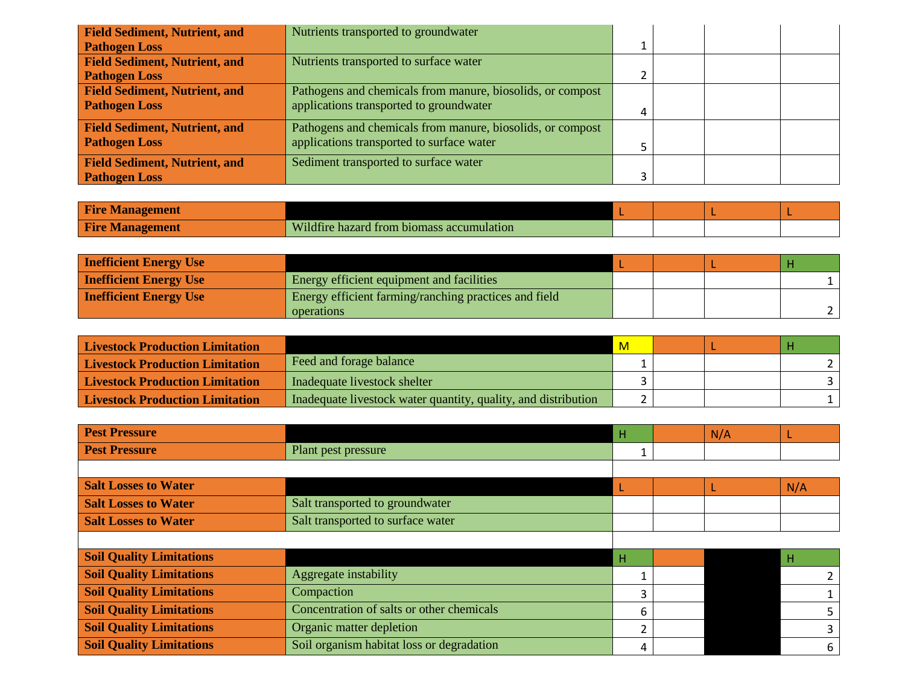| <b>Field Sediment, Nutrient, and</b> | Nutrients transported to groundwater                       |  |  |
|--------------------------------------|------------------------------------------------------------|--|--|
| <b>Pathogen Loss</b>                 |                                                            |  |  |
| <b>Field Sediment, Nutrient, and</b> | Nutrients transported to surface water                     |  |  |
| <b>Pathogen Loss</b>                 |                                                            |  |  |
| <b>Field Sediment, Nutrient, and</b> | Pathogens and chemicals from manure, biosolids, or compost |  |  |
| <b>Pathogen Loss</b>                 | applications transported to groundwater                    |  |  |
| <b>Field Sediment, Nutrient, and</b> | Pathogens and chemicals from manure, biosolids, or compost |  |  |
| <b>Pathogen Loss</b>                 | applications transported to surface water                  |  |  |
| <b>Field Sediment, Nutrient, and</b> | Sediment transported to surface water                      |  |  |
| <b>Pathogen Loss</b>                 |                                                            |  |  |

| <b>Fire Management</b> |                                           |  |  |
|------------------------|-------------------------------------------|--|--|
| <b>Fire Management</b> | Wildfire hazard from biomass accumulation |  |  |

| <b>Inefficient Energy Use</b> |                                                       |  |  |
|-------------------------------|-------------------------------------------------------|--|--|
| <b>Inefficient Energy Use</b> | Energy efficient equipment and facilities             |  |  |
| <b>Inefficient Energy Use</b> | Energy efficient farming/ranching practices and field |  |  |
|                               | operations                                            |  |  |

| <b>Livestock Production Limitation</b> |                                                                | -M- |  |  |
|----------------------------------------|----------------------------------------------------------------|-----|--|--|
| <b>Livestock Production Limitation</b> | Feed and forage balance                                        |     |  |  |
| <b>Livestock Production Limitation</b> | Inadequate livestock shelter                                   |     |  |  |
| <b>Livestock Production Limitation</b> | Inadequate livestock water quantity, quality, and distribution |     |  |  |

| <b>Pest Pressure</b>            |                                           | н | N/A |     |
|---------------------------------|-------------------------------------------|---|-----|-----|
| <b>Pest Pressure</b>            | Plant pest pressure                       |   |     |     |
|                                 |                                           |   |     |     |
| <b>Salt Losses to Water</b>     |                                           |   |     | N/A |
| <b>Salt Losses to Water</b>     | Salt transported to groundwater           |   |     |     |
| <b>Salt Losses to Water</b>     | Salt transported to surface water         |   |     |     |
|                                 |                                           |   |     |     |
| <b>Soil Quality Limitations</b> |                                           | н |     | -H  |
| <b>Soil Quality Limitations</b> | Aggregate instability                     |   |     |     |
| <b>Soil Quality Limitations</b> | Compaction                                | 3 |     |     |
| <b>Soil Quality Limitations</b> | Concentration of salts or other chemicals | 6 |     |     |
| <b>Soil Quality Limitations</b> | Organic matter depletion                  | ີ |     | 3   |
| <b>Soil Quality Limitations</b> | Soil organism habitat loss or degradation | 4 |     | 6   |